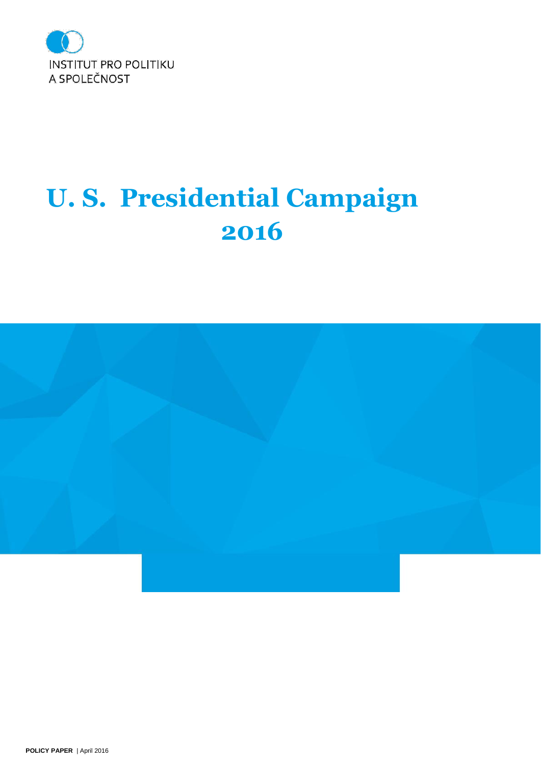

# **U. S. Presidential Campaign 2016**

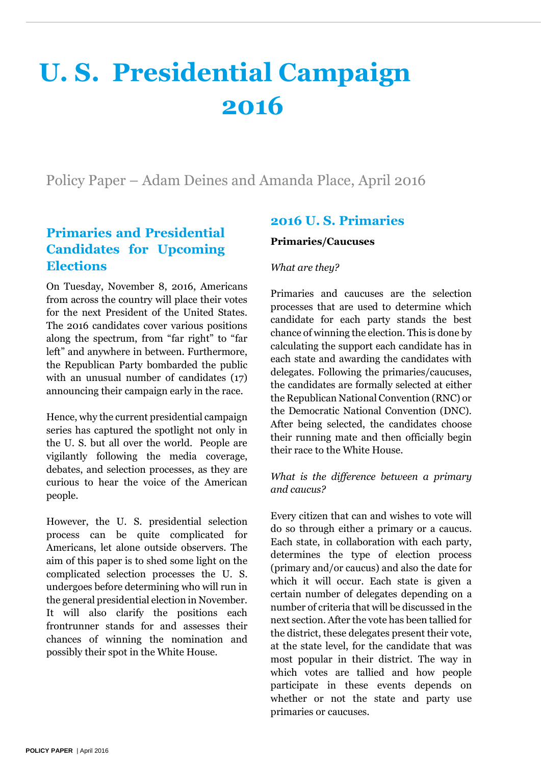# **U. S. Presidential Campaign 2016**

Policy Paper – Adam Deines and Amanda Place, April 2016

# **Primaries and Presidential Candidates for Upcoming Elections**

On Tuesday, November 8, 2016, Americans from across the country will place their votes for the next President of the United States. The 2016 candidates cover various positions along the spectrum, from "far right" to "far left" and anywhere in between. Furthermore, the Republican Party bombarded the public with an unusual number of candidates  $(17)$ announcing their campaign early in the race.

Hence, why the current presidential campaign series has captured the spotlight not only in the U. S. but all over the world. People are vigilantly following the media coverage, debates, and selection processes, as they are curious to hear the voice of the American people.

However, the U. S. presidential selection process can be quite complicated for Americans, let alone outside observers. The aim of this paper is to shed some light on the complicated selection processes the U. S. undergoes before determining who will run in the general presidential election in November. It will also clarify the positions each frontrunner stands for and assesses their chances of winning the nomination and possibly their spot in the White House.

# **2016 U. S. Primaries**

#### **Primaries/Caucuses**

## *What are they?*

Primaries and caucuses are the selection processes that are used to determine which candidate for each party stands the best chance of winning the election. This is done by calculating the support each candidate has in each state and awarding the candidates with delegates. Following the primaries/caucuses, the candidates are formally selected at either the Republican National Convention (RNC) or the Democratic National Convention (DNC). After being selected, the candidates choose their running mate and then officially begin their race to the White House.

## *What is the difference between a primary and caucus?*

Every citizen that can and wishes to vote will do so through either a primary or a caucus. Each state, in collaboration with each party, determines the type of election process (primary and/or caucus) and also the date for which it will occur. Each state is given a certain number of delegates depending on a number of criteria that will be discussed in the next section. After the vote has been tallied for the district, these delegates present their vote, at the state level, for the candidate that was most popular in their district. The way in which votes are tallied and how people participate in these events depends on whether or not the state and party use primaries or caucuses.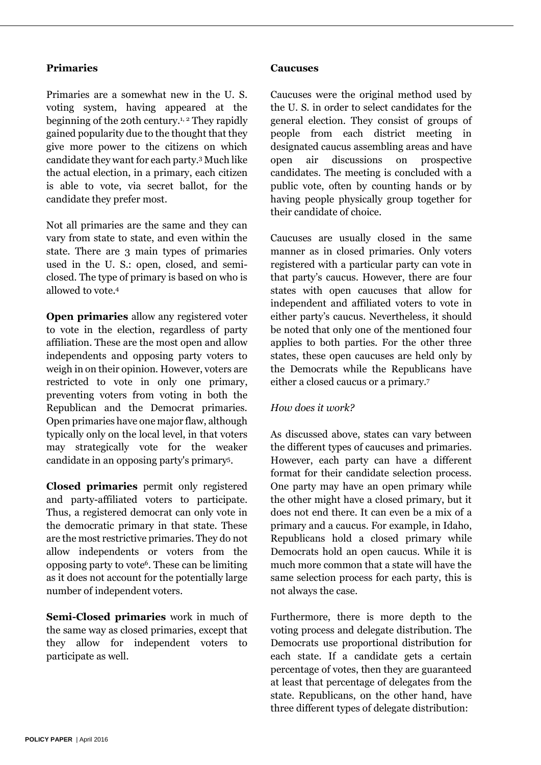#### **Primaries**

Primaries are a somewhat new in the U. S. voting system, having appeared at the beginning of the 20th century. 1, <sup>2</sup> They rapidly gained popularity due to the thought that they give more power to the citizens on which candidate they want for each party. <sup>3</sup> Much like the actual election, in a primary, each citizen is able to vote, via secret ballot, for the candidate they prefer most.

Not all primaries are the same and they can vary from state to state, and even within the state. There are 3 main types of primaries used in the U. S.: open, closed, and semiclosed. The type of primary is based on who is allowed to vote. 4

**Open primaries** allow any registered voter to vote in the election, regardless of party affiliation. These are the most open and allow independents and opposing party voters to weigh in on their opinion. However, voters are restricted to vote in only one primary, preventing voters from voting in both the Republican and the Democrat primaries. Open primaries have one major flaw, although typically only on the local level, in that voters may strategically vote for the weaker candidate in an opposing party's primary<sup>5</sup> .

**Closed primaries** permit only registered and party-affiliated voters to participate. Thus, a registered democrat can only vote in the democratic primary in that state. These are the most restrictive primaries. They do not allow independents or voters from the opposing party to vote<sup>6</sup> . These can be limiting as it does not account for the potentially large number of independent voters.

**Semi-Closed primaries** work in much of the same way as closed primaries, except that they allow for independent voters to participate as well.

#### **Caucuses**

Caucuses were the original method used by the U. S. in order to select candidates for the general election. They consist of groups of people from each district meeting in designated caucus assembling areas and have open air discussions on prospective candidates. The meeting is concluded with a public vote, often by counting hands or by having people physically group together for their candidate of choice.

Caucuses are usually closed in the same manner as in closed primaries. Only voters registered with a particular party can vote in that party's caucus. However, there are four states with open caucuses that allow for independent and affiliated voters to vote in either party's caucus. Nevertheless, it should be noted that only one of the mentioned four applies to both parties. For the other three states, these open caucuses are held only by the Democrats while the Republicans have either a closed caucus or a primary. 7

#### *How does it work?*

As discussed above, states can vary between the different types of caucuses and primaries. However, each party can have a different format for their candidate selection process. One party may have an open primary while the other might have a closed primary, but it does not end there. It can even be a mix of a primary and a caucus. For example, in Idaho, Republicans hold a closed primary while Democrats hold an open caucus. While it is much more common that a state will have the same selection process for each party, this is not always the case.

Furthermore, there is more depth to the voting process and delegate distribution. The Democrats use proportional distribution for each state. If a candidate gets a certain percentage of votes, then they are guaranteed at least that percentage of delegates from the state. Republicans, on the other hand, have three different types of delegate distribution: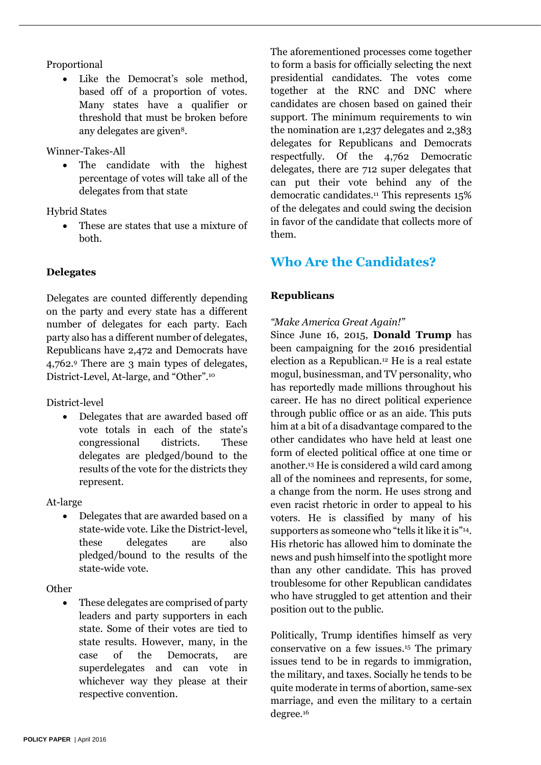## Proportional

 Like the Democrat's sole method, based off of a proportion of votes. Many states have a qualifier or threshold that must be broken before any delegates are given<sup>8</sup>.

Winner-Takes-All

 The candidate with the highest percentage of votes will take all of the delegates from that state

Hybrid States

 These are states that use a mixture of both.

# **Delegates**

Delegates are counted differently depending on the party and every state has a different number of delegates for each party. Each party also has a different number of delegates, Republicans have 2,472 and Democrats have 4,762. <sup>9</sup> There are 3 main types of delegates, District-Level, At-large, and "Other".<sup>10</sup>

District-level

• Delegates that are awarded based off vote totals in each of the state's congressional districts. These delegates are pledged/bound to the results of the vote for the districts they represent.

At-large

 Delegates that are awarded based on a state-wide vote. Like the District-level, these delegates are also pledged/bound to the results of the state-wide vote.

**Other** 

 These delegates are comprised of party leaders and party supporters in each state. Some of their votes are tied to state results. However, many, in the case of the Democrats, are superdelegates and can vote in whichever way they please at their respective convention.

The aforementioned processes come together to form a basis for officially selecting the next presidential candidates. The votes come together at the RNC and DNC where candidates are chosen based on gained their support. The minimum requirements to win the nomination are 1,237 delegates and 2,383 delegates for Republicans and Democrats respectfully. Of the 4,762 Democratic delegates, there are 712 super delegates that can put their vote behind any of the democratic candidates. <sup>11</sup> This represents 15% of the delegates and could swing the decision in favor of the candidate that collects more of them.

# **Who Are the Candidates?**

# **Republicans**

## *"Make America Great Again!"*

Since June 16, 2015, **Donald Trump** has been campaigning for the 2016 presidential election as a Republican. <sup>12</sup> He is a real estate mogul, businessman, and TV personality, who has reportedly made millions throughout his career. He has no direct political experience through public office or as an aide. This puts him at a bit of a disadvantage compared to the other candidates who have held at least one form of elected political office at one time or another. <sup>13</sup> He is considered a wild card among all of the nominees and represents, for some, a change from the norm. He uses strong and even racist rhetoric in order to appeal to his voters. He is classified by many of his supporters as someone who "tells it like it is"<sup>14</sup>. His rhetoric has allowed him to dominate the news and push himself into the spotlight more than any other candidate. This has proved troublesome for other Republican candidates who have struggled to get attention and their position out to the public.

Politically, Trump identifies himself as very conservative on a few issues. <sup>15</sup> The primary issues tend to be in regards to immigration, the military, and taxes. Socially he tends to be quite moderate in terms of abortion, same-sex marriage, and even the military to a certain degree. 16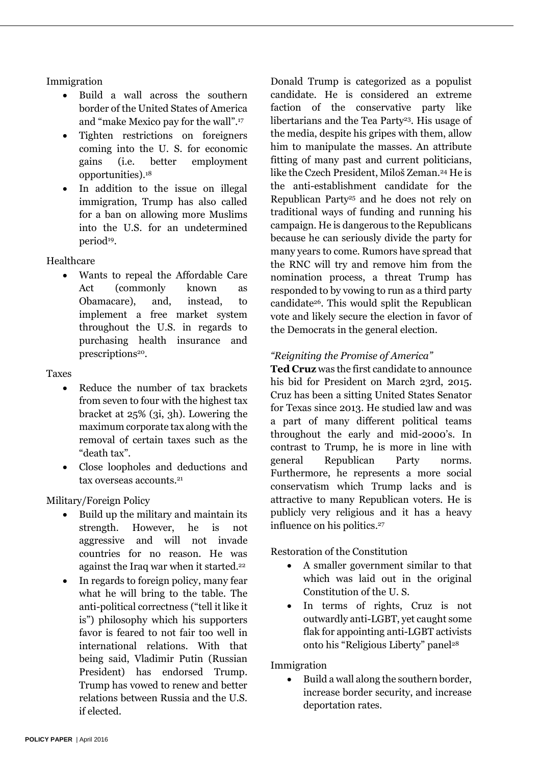## Immigration

- Build a wall across the southern border of the United States of America and "make Mexico pay for the wall". 17
- Tighten restrictions on foreigners coming into the U. S. for economic gains (i.e. better employment opportunities). 18
- In addition to the issue on illegal immigration, Trump has also called for a ban on allowing more Muslims into the U.S. for an undetermined period<sup>19</sup>.

## Healthcare

 Wants to repeal the Affordable Care Act (commonly known as Obamacare), and, instead, to implement a free market system throughout the U.S. in regards to purchasing health insurance and prescriptions<sup>20</sup>.

## Taxes

- Reduce the number of tax brackets from seven to four with the highest tax bracket at 25% (3i, 3h). Lowering the maximum corporate tax along with the removal of certain taxes such as the "death tax".
- Close loopholes and deductions and tax overseas accounts. 21

Military/Foreign Policy

- Build up the military and maintain its strength. However, he is not aggressive and will not invade countries for no reason. He was against the Iraq war when it started.<sup>22</sup>
- In regards to foreign policy, many fear what he will bring to the table. The anti-political correctness ("tell it like it is") philosophy which his supporters favor is feared to not fair too well in international relations. With that being said, Vladimir Putin (Russian President) has endorsed Trump. Trump has vowed to renew and better relations between Russia and the U.S. if elected.

Donald Trump is categorized as a populist candidate. He is considered an extreme faction of the conservative party like libertarians and the Tea Party<sup>23</sup>. His usage of the media, despite his gripes with them, allow him to manipulate the masses. An attribute fitting of many past and current politicians, like the Czech President, Miloš Zeman. <sup>24</sup> He is the anti-establishment candidate for the Republican Party<sup>25</sup> and he does not rely on traditional ways of funding and running his campaign. He is dangerous to the Republicans because he can seriously divide the party for many years to come. Rumors have spread that the RNC will try and remove him from the nomination process, a threat Trump has responded to by vowing to run as a third party candidate26. This would split the Republican vote and likely secure the election in favor of the Democrats in the general election.

# *"Reigniting the Promise of America"*

**Ted Cruz** was the first candidate to announce his bid for President on March 23rd, 2015. Cruz has been a sitting United States Senator for Texas since 2013. He studied law and was a part of many different political teams throughout the early and mid-2000's. In contrast to Trump, he is more in line with general Republican Party norms. Furthermore, he represents a more social conservatism which Trump lacks and is attractive to many Republican voters. He is publicly very religious and it has a heavy influence on his politics. 27

Restoration of the Constitution

- A smaller government similar to that which was laid out in the original Constitution of the U. S.
- In terms of rights, Cruz is not outwardly anti-LGBT, yet caught some flak for appointing anti-LGBT activists onto his "Religious Liberty" panel<sup>28</sup>

Immigration

• Build a wall along the southern border, increase border security, and increase deportation rates.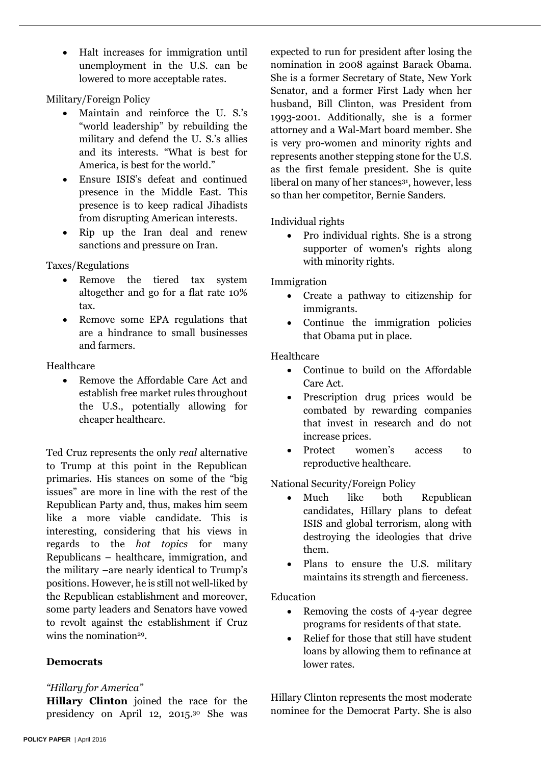Halt increases for immigration until unemployment in the U.S. can be lowered to more acceptable rates.

Military/Foreign Policy

- Maintain and reinforce the U. S.'s "world leadership" by rebuilding the military and defend the U. S.'s allies and its interests. "What is best for America, is best for the world."
- Ensure ISIS's defeat and continued presence in the Middle East. This presence is to keep radical Jihadists from disrupting American interests.
- Rip up the Iran deal and renew sanctions and pressure on Iran.

Taxes/Regulations

- Remove the tiered tax system altogether and go for a flat rate 10% tax.
- Remove some EPA regulations that are a hindrance to small businesses and farmers.

Healthcare

• Remove the Affordable Care Act and establish free market rules throughout the U.S., potentially allowing for cheaper healthcare.

Ted Cruz represents the only *real* alternative to Trump at this point in the Republican primaries. His stances on some of the "big issues" are more in line with the rest of the Republican Party and, thus, makes him seem like a more viable candidate. This is interesting, considering that his views in regards to the *hot topics* for many Republicans – healthcare, immigration, and the military –are nearly identical to Trump's positions. However, he is still not well-liked by the Republican establishment and moreover, some party leaders and Senators have vowed to revolt against the establishment if Cruz wins the nomination<sup>29</sup>.

# **Democrats**

# *"Hillary for America"*

**Hillary Clinton** joined the race for the presidency on April 12, 2015. <sup>30</sup> She was expected to run for president after losing the nomination in 2008 against Barack Obama. She is a former Secretary of State, New York Senator, and a former First Lady when her husband, Bill Clinton, was President from 1993-2001. Additionally, she is a former attorney and a Wal-Mart board member. She is very pro-women and minority rights and represents another stepping stone for the U.S. as the first female president. She is quite liberal on many of her stances<sup>31</sup>, however, less so than her competitor, Bernie Sanders.

Individual rights

 Pro individual rights. She is a strong supporter of women's rights along with minority rights.

Immigration

- Create a pathway to citizenship for immigrants.
- Continue the immigration policies that Obama put in place.

Healthcare

- Continue to build on the Affordable Care Act.
- Prescription drug prices would be combated by rewarding companies that invest in research and do not increase prices.
- Protect women's access to reproductive healthcare.

National Security/Foreign Policy

- Much like both Republican candidates, Hillary plans to defeat ISIS and global terrorism, along with destroying the ideologies that drive them.
- Plans to ensure the U.S. military maintains its strength and fierceness.

Education

- Removing the costs of 4-year degree programs for residents of that state.
- Relief for those that still have student loans by allowing them to refinance at lower rates.

Hillary Clinton represents the most moderate nominee for the Democrat Party. She is also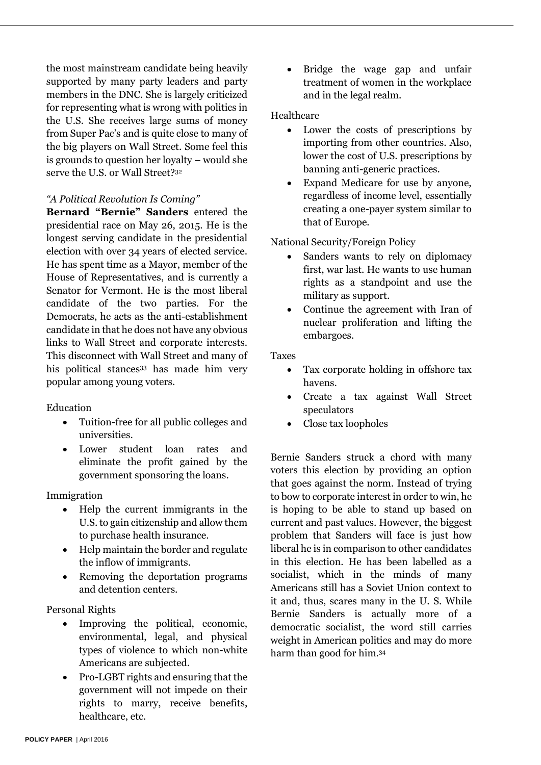the most mainstream candidate being heavily supported by many party leaders and party members in the DNC. She is largely criticized for representing what is wrong with politics in the U.S. She receives large sums of money from Super Pac's and is quite close to many of the big players on Wall Street. Some feel this is grounds to question her loyalty – would she serve the U.S. or Wall Street?<sup>32</sup>

#### *"A Political Revolution Is Coming"*

**Bernard "Bernie" Sanders** entered the presidential race on May 26, 2015. He is the longest serving candidate in the presidential election with over 34 years of elected service. He has spent time as a Mayor, member of the House of Representatives, and is currently a Senator for Vermont. He is the most liberal candidate of the two parties. For the Democrats, he acts as the anti-establishment candidate in that he does not have any obvious links to Wall Street and corporate interests. This disconnect with Wall Street and many of his political stances<sup>33</sup> has made him very popular among young voters.

#### Education

- Tuition-free for all public colleges and universities.
- Lower student loan rates and eliminate the profit gained by the government sponsoring the loans.

Immigration

- Help the current immigrants in the U.S. to gain citizenship and allow them to purchase health insurance.
- Help maintain the border and regulate the inflow of immigrants.
- Removing the deportation programs and detention centers.

#### Personal Rights

- Improving the political, economic, environmental, legal, and physical types of violence to which non-white Americans are subjected.
- Pro-LGBT rights and ensuring that the government will not impede on their rights to marry, receive benefits, healthcare, etc.

 Bridge the wage gap and unfair treatment of women in the workplace and in the legal realm.

#### Healthcare

- Lower the costs of prescriptions by importing from other countries. Also, lower the cost of U.S. prescriptions by banning anti-generic practices.
- Expand Medicare for use by anyone, regardless of income level, essentially creating a one-payer system similar to that of Europe.

#### National Security/Foreign Policy

- Sanders wants to rely on diplomacy first, war last. He wants to use human rights as a standpoint and use the military as support.
- Continue the agreement with Iran of nuclear proliferation and lifting the embargoes.

Taxes

- Tax corporate holding in offshore tax havens.
- Create a tax against Wall Street speculators
- Close tax loopholes

Bernie Sanders struck a chord with many voters this election by providing an option that goes against the norm. Instead of trying to bow to corporate interest in order to win, he is hoping to be able to stand up based on current and past values. However, the biggest problem that Sanders will face is just how liberal he is in comparison to other candidates in this election. He has been labelled as a socialist, which in the minds of many Americans still has a Soviet Union context to it and, thus, scares many in the U. S. While Bernie Sanders is actually more of a democratic socialist, the word still carries weight in American politics and may do more harm than good for him. 34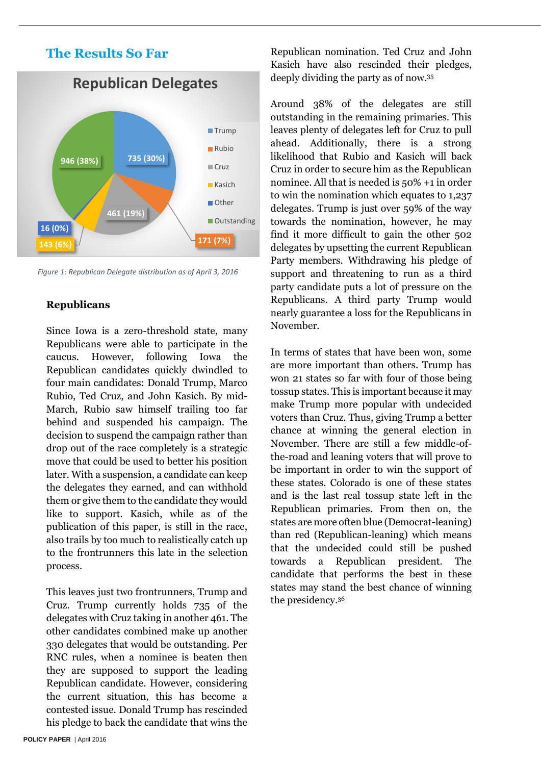# **The Results So Far**



*Figure 1: Republican Delegate distribution as of April 3, 2016*

#### **Republicans**

Since Iowa is a zero-threshold state, many Republicans were able to participate in the caucus. However, following Iowa the Republican candidates quickly dwindled to four main candidates: Donald Trump, Marco Rubio, Ted Cruz, and John Kasich. By mid-March, Rubio saw himself trailing too far behind and suspended his campaign. The decision to suspend the campaign rather than drop out of the race completely is a strategic move that could be used to better his position later. With a suspension, a candidate can keep the delegates they earned, and can withhold them or give them to the candidate they would like to support. Kasich, while as of the publication of this paper, is still in the race, also trails by too much to realistically catch up to the frontrunners this late in the selection process.

This leaves just two frontrunners, Trump and Cruz. Trump currently holds 735 of the delegates with Cruz taking in another 461. The other candidates combined make up another 330 delegates that would be outstanding. Per RNC rules, when a nominee is beaten then they are supposed to support the leading Republican candidate. However, considering the current situation, this has become a contested issue. Donald Trump has rescinded his pledge to back the candidate that wins the

Republican nomination. Ted Cruz and John Kasich have also rescinded their pledges, deeply dividing the party as of now. 35

Around 38% of the delegates are still outstanding in the remaining primaries. This leaves plenty of delegates left for Cruz to pull ahead. Additionally, there is a strong likelihood that Rubio and Kasich will back Cruz in order to secure him as the Republican nominee. All that is needed is 50% +1 in order to win the nomination which equates to 1,237 delegates. Trump is just over 59% of the way towards the nomination, however, he may find it more difficult to gain the other 502 delegates by upsetting the current Republican Party members. Withdrawing his pledge of support and threatening to run as a third party candidate puts a lot of pressure on the Republicans. A third party Trump would nearly guarantee a loss for the Republicans in November.

In terms of states that have been won, some are more important than others. Trump has won 21 states so far with four of those being tossup states. This is important because it may make Trump more popular with undecided voters than Cruz. Thus, giving Trump a better chance at winning the general election in November. There are still a few middle-ofthe-road and leaning voters that will prove to be important in order to win the support of these states. Colorado is one of these states and is the last real tossup state left in the Republican primaries. From then on, the states are more often blue (Democrat-leaning) than red (Republican-leaning) which means that the undecided could still be pushed towards a Republican president. The candidate that performs the best in these states may stand the best chance of winning the presidency. 36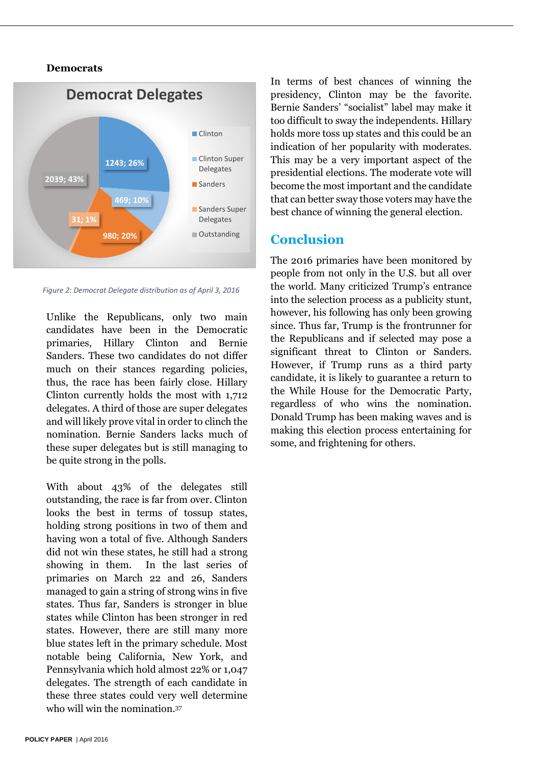#### **Democrats**



*Figure 2: Democrat Delegate distribution as of April 3, 2016*

Unlike the Republicans, only two main candidates have been in the Democratic primaries, Hillary Clinton and Bernie Sanders. These two candidates do not differ much on their stances regarding policies, thus, the race has been fairly close. Hillary Clinton currently holds the most with 1,712 delegates. A third of those are super delegates and will likely prove vital in order to clinch the nomination. Bernie Sanders lacks much of these super delegates but is still managing to be quite strong in the polls.

With about 43% of the delegates still outstanding, the race is far from over. Clinton looks the best in terms of tossup states, holding strong positions in two of them and having won a total of five. Although Sanders did not win these states, he still had a strong showing in them. In the last series of primaries on March 22 and 26, Sanders managed to gain a string of strong wins in five states. Thus far, Sanders is stronger in blue states while Clinton has been stronger in red states. However, there are still many more blue states left in the primary schedule. Most notable being California, New York, and Pennsylvania which hold almost 22% or 1,047 delegates. The strength of each candidate in these three states could very well determine who will win the nomination. 37

In terms of best chances of winning the presidency, Clinton may be the favorite. Bernie Sanders' "socialist" label may make it too difficult to sway the independents. Hillary holds more toss up states and this could be an indication of her popularity with moderates. This may be a very important aspect of the presidential elections. The moderate vote will become the most important and the candidate that can better sway those voters may have the best chance of winning the general election.

# **Conclusion**

The 2016 primaries have been monitored by people from not only in the U.S. but all over the world. Many criticized Trump's entrance into the selection process as a publicity stunt, however, his following has only been growing since. Thus far, Trump is the frontrunner for the Republicans and if selected may pose a significant threat to Clinton or Sanders. However, if Trump runs as a third party candidate, it is likely to guarantee a return to the While House for the Democratic Party, regardless of who wins the nomination. Donald Trump has been making waves and is making this election process entertaining for some, and frightening for others.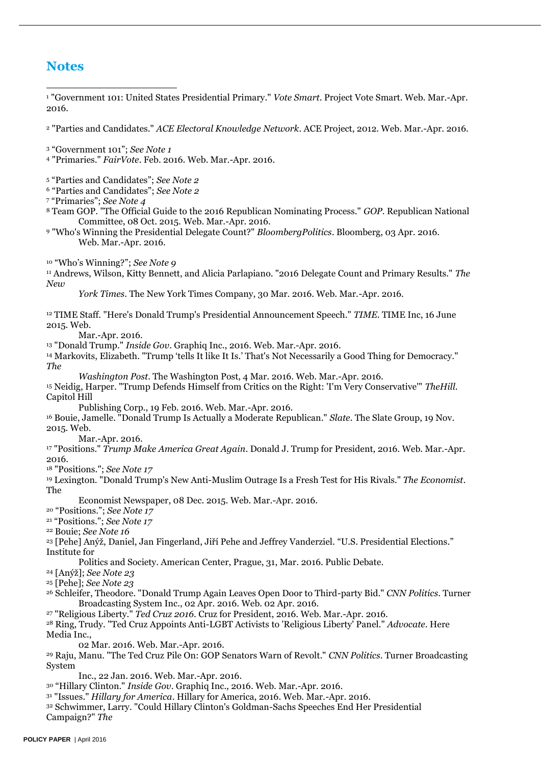# **Notes**

<sup>1</sup> "Government 101: United States Presidential Primary." *Vote Smart*. Project Vote Smart. Web. Mar.-Apr. 2016. -

<sup>2</sup> "Parties and Candidates." *ACE Electoral Knowledge Network*. ACE Project, 2012. Web. Mar.-Apr. 2016.

<sup>3</sup> "Government 101"; *See Note 1*

<sup>4</sup> "Primaries." *FairVote*. Feb. 2016. Web. Mar.-Apr. 2016.

<sup>5</sup> "Parties and Candidates"; *See Note 2*

<sup>6</sup> "Parties and Candidates"; *See Note 2*

<sup>7</sup> "Primaries"; *See Note 4*

<sup>8</sup> Team GOP. "The Official Guide to the 2016 Republican Nominating Process." *GOP*. Republican National Committee, 08 Oct. 2015. Web. Mar.-Apr. 2016.

<sup>9</sup> "Who's Winning the Presidential Delegate Count?" *BloombergPolitics*. Bloomberg, 03 Apr. 2016. Web. Mar.-Apr. 2016.

<sup>10</sup> "Who's Winning?"; *See Note 9*

<sup>11</sup> Andrews, Wilson, Kitty Bennett, and Alicia Parlapiano. "2016 Delegate Count and Primary Results." *The New* 

*York Times*. The New York Times Company, 30 Mar. 2016. Web. Mar.-Apr. 2016.

<sup>12</sup> TIME Staff. "Here's Donald Trump's Presidential Announcement Speech." *TIME*. TIME Inc, 16 June 2015. Web.

Mar.-Apr. 2016.

<sup>13</sup> "Donald Trump." *Inside Gov*. Graphiq Inc., 2016. Web. Mar.-Apr. 2016.

<sup>14</sup> Markovits, Elizabeth. "Trump 'tells It like It Is.' That's Not Necessarily a Good Thing for Democracy." *The* 

*Washington Post*. The Washington Post, 4 Mar. 2016. Web. Mar.-Apr. 2016.

<sup>15</sup> Neidig, Harper. "Trump Defends Himself from Critics on the Right: 'I'm Very Conservative'" *TheHill*. Capitol Hill

Publishing Corp., 19 Feb. 2016. Web. Mar.-Apr. 2016.

<sup>16</sup> Bouie, Jamelle. "Donald Trump Is Actually a Moderate Republican." *Slate*. The Slate Group, 19 Nov. 2015. Web.

Mar.-Apr. 2016.

<sup>17</sup> "Positions." *Trump Make America Great Again*. Donald J. Trump for President, 2016. Web. Mar.-Apr. 2016.

<sup>18</sup> "Positions."; *See Note 17*

<sup>19</sup> Lexington. "Donald Trump's New Anti-Muslim Outrage Is a Fresh Test for His Rivals." *The Economist*. The

Economist Newspaper, 08 Dec. 2015. Web. Mar.-Apr. 2016.

<sup>20</sup> "Positions."; *See Note 17*

<sup>21</sup> "Positions."; *See Note 17*

<sup>22</sup> Bouie; *See Note 16*

<sup>23</sup> [Pehe] Anýž, Daniel, Jan Fingerland, Jiří Pehe and Jeffrey Vanderziel. "U.S. Presidential Elections." Institute for

Politics and Society. American Center, Prague, 31, Mar. 2016. Public Debate.

<sup>24</sup> [Anýž]; *See Note 23*

<sup>25</sup> [Pehe]; *See Note 23*

<sup>26</sup> Schleifer, Theodore. "Donald Trump Again Leaves Open Door to Third-party Bid." *CNN Politics*. Turner Broadcasting System Inc., 02 Apr. 2016. Web. 02 Apr. 2016.

<sup>27</sup> "Religious Liberty." *Ted Cruz 2016*. Cruz for President, 2016. Web. Mar.-Apr. 2016.

<sup>28</sup> Ring, Trudy. "Ted Cruz Appoints Anti-LGBT Activists to 'Religious Liberty' Panel." *Advocate*. Here Media Inc.,

02 Mar. 2016. Web. Mar.-Apr. 2016.

<sup>29</sup> Raju, Manu. "The Ted Cruz Pile On: GOP Senators Warn of Revolt." *CNN Politics*. Turner Broadcasting System

Inc., 22 Jan. 2016. Web. Mar.-Apr. 2016.

<sup>30</sup> "Hillary Clinton." *Inside Gov*. Graphiq Inc., 2016. Web. Mar.-Apr. 2016.

<sup>31</sup> "Issues." *Hillary for America*. Hillary for America, 2016. Web. Mar.-Apr. 2016.

<sup>32</sup> Schwimmer, Larry. "Could Hillary Clinton's Goldman-Sachs Speeches End Her Presidential Campaign?" *The*